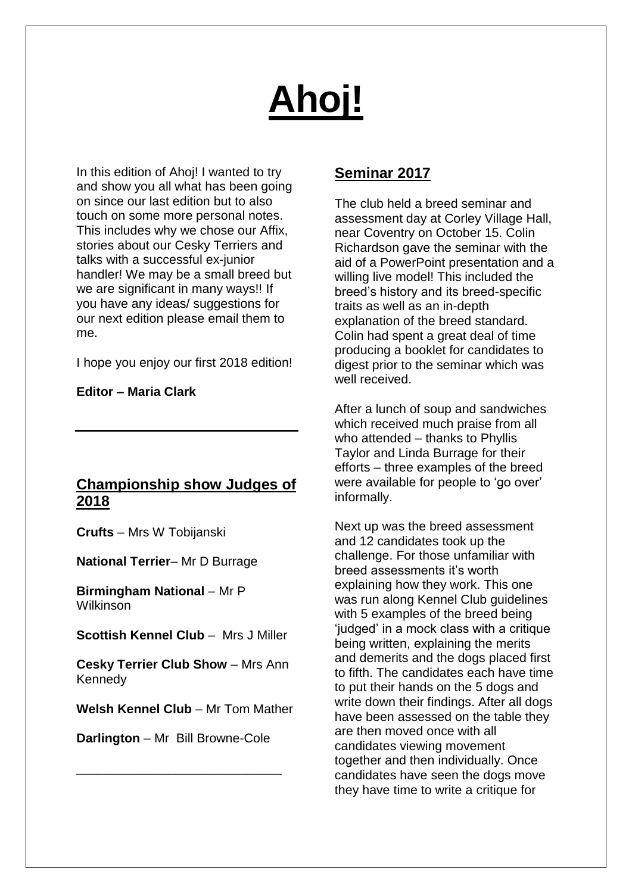# **Ahoj!**

In this edition of Ahoj! I wanted to try and show you all what has been going on since our last edition but to also touch on some more personal notes. This includes why we chose our Affix, stories about our Cesky Terriers and talks with a successful ex-junior handler! We may be a small breed but we are significant in many ways!! If you have any ideas/ suggestions for our next edition please email them to me.

I hope you enjoy our first 2018 edition!

**Editor – Maria Clark**

# **Championship show Judges of 2018**

**Crufts** – Mrs W Tobijanski

**National Terrier**– Mr D Burrage

**Birmingham National** – Mr P Wilkinson

**Scottish Kennel Club** – Mrs J Miller

**Cesky Terrier Club Show** – Mrs Ann Kennedy

**Welsh Kennel Club** – Mr Tom Mather

**Darlington** – Mr Bill Browne-Cole

\_\_\_\_\_\_\_\_\_\_\_\_\_\_\_\_\_\_\_\_\_\_\_\_\_\_\_\_\_

# **Seminar 2017**

The club held a breed seminar and assessment day at Corley Village Hall, near Coventry on October 15. Colin Richardson gave the seminar with the aid of a PowerPoint presentation and a willing live model! This included the breed's history and its breed-specific traits as well as an in-depth explanation of the breed standard. Colin had spent a great deal of time producing a booklet for candidates to digest prior to the seminar which was well received.

After a lunch of soup and sandwiches which received much praise from all who attended – thanks to Phyllis Taylor and Linda Burrage for their efforts – three examples of the breed were available for people to 'go over' informally.

Next up was the breed assessment and 12 candidates took up the challenge. For those unfamiliar with breed assessments it's worth explaining how they work. This one was run along Kennel Club guidelines with 5 examples of the breed being 'judged' in a mock class with a critique being written, explaining the merits and demerits and the dogs placed first to fifth. The candidates each have time to put their hands on the 5 dogs and write down their findings. After all dogs have been assessed on the table they are then moved once with all candidates viewing movement together and then individually. Once candidates have seen the dogs move they have time to write a critique for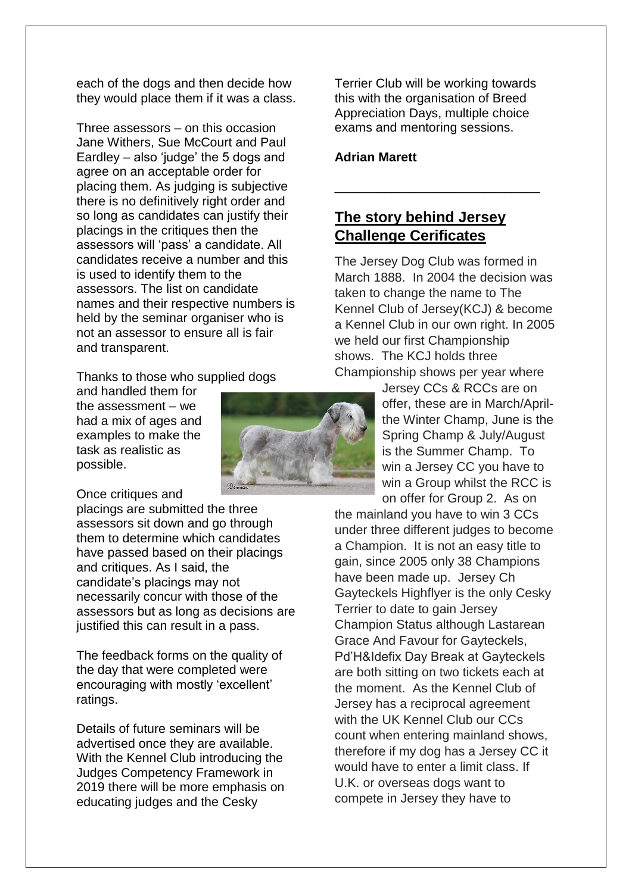each of the dogs and then decide how they would place them if it was a class.

Three assessors – on this occasion Jane Withers, Sue McCourt and Paul Eardley – also 'judge' the 5 dogs and agree on an acceptable order for placing them. As judging is subjective there is no definitively right order and so long as candidates can justify their placings in the critiques then the assessors will 'pass' a candidate. All candidates receive a number and this is used to identify them to the assessors. The list on candidate names and their respective numbers is held by the seminar organiser who is not an assessor to ensure all is fair and transparent.

#### Thanks to those who supplied dogs

and handled them for the assessment – we had a mix of ages and examples to make the task as realistic as possible.

Once critiques and

placings are submitted the three assessors sit down and go through them to determine which candidates have passed based on their placings and critiques. As I said, the candidate's placings may not necessarily concur with those of the assessors but as long as decisions are justified this can result in a pass.

The feedback forms on the quality of the day that were completed were encouraging with mostly 'excellent' ratings.

Details of future seminars will be advertised once they are available. With the Kennel Club introducing the Judges Competency Framework in 2019 there will be more emphasis on educating judges and the Cesky

Terrier Club will be working towards this with the organisation of Breed Appreciation Days, multiple choice exams and mentoring sessions.

\_\_\_\_\_\_\_\_\_\_\_\_\_\_\_\_\_\_\_\_\_\_\_\_\_\_\_\_\_

#### **Adrian Marett**

# **The story behind Jersey Challenge Cerificates**

The Jersey Dog Club was formed in March 1888. In 2004 the decision was taken to change the name to The Kennel Club of Jersey(KCJ) & become a Kennel Club in our own right. In 2005 we held our first Championship shows. The KCJ holds three Championship shows per year where

> Jersey CCs & RCCs are on offer, these are in March/Aprilthe Winter Champ, June is the Spring Champ & July/August is the Summer Champ. To win a Jersey CC you have to win a Group whilst the RCC is on offer for Group 2. As on

the mainland you have to win 3 CCs under three different judges to become a Champion. It is not an easy title to gain, since 2005 only 38 Champions have been made up. Jersey Ch Gayteckels Highflyer is the only Cesky Terrier to date to gain Jersey Champion Status although Lastarean Grace And Favour for Gayteckels, Pd'H&Idefix Day Break at Gayteckels are both sitting on two tickets each at the moment. As the Kennel Club of Jersey has a reciprocal agreement with the UK Kennel Club our CCs count when entering mainland shows, therefore if my dog has a Jersey CC it would have to enter a limit class. If U.K. or overseas dogs want to compete in Jersey they have to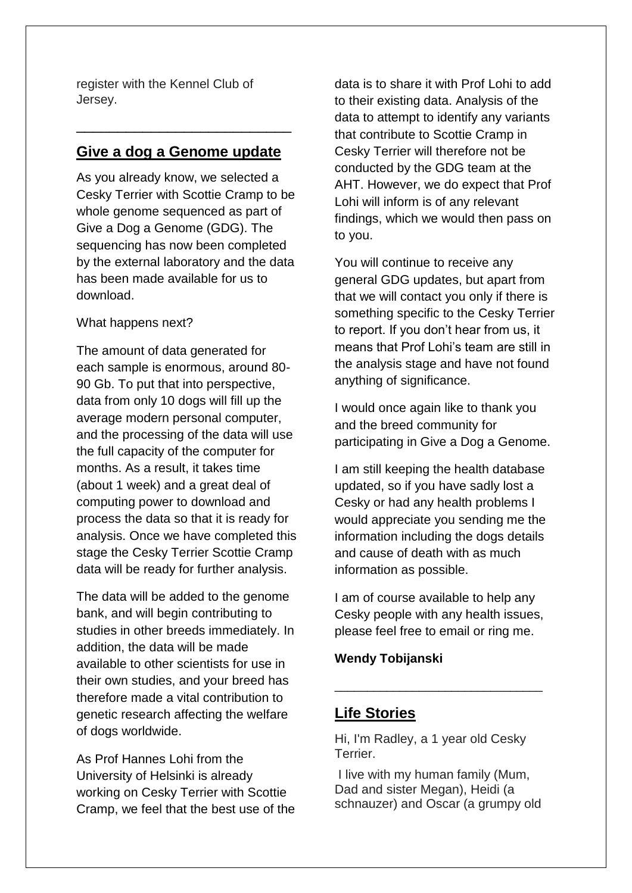register with the Kennel Club of Jersey.

# **Give a dog a Genome update**

\_\_\_\_\_\_\_\_\_\_\_\_\_\_\_\_\_\_\_\_\_\_\_\_\_\_

As you already know, we selected a Cesky Terrier with Scottie Cramp to be whole genome sequenced as part of Give a Dog a Genome (GDG). The sequencing has now been completed by the external laboratory and the data has been made available for us to download.

#### What happens next?

The amount of data generated for each sample is enormous, around 80- 90 Gb. To put that into perspective, data from only 10 dogs will fill up the average modern personal computer, and the processing of the data will use the full capacity of the computer for months. As a result, it takes time (about 1 week) and a great deal of computing power to download and process the data so that it is ready for analysis. Once we have completed this stage the Cesky Terrier Scottie Cramp data will be ready for further analysis.

The data will be added to the genome bank, and will begin contributing to studies in other breeds immediately. In addition, the data will be made available to other scientists for use in their own studies, and your breed has therefore made a vital contribution to genetic research affecting the welfare of dogs worldwide.

As Prof Hannes Lohi from the University of Helsinki is already working on Cesky Terrier with Scottie Cramp, we feel that the best use of the data is to share it with Prof Lohi to add to their existing data. Analysis of the data to attempt to identify any variants that contribute to Scottie Cramp in Cesky Terrier will therefore not be conducted by the GDG team at the AHT. However, we do expect that Prof Lohi will inform is of any relevant findings, which we would then pass on to you.

You will continue to receive any general GDG updates, but apart from that we will contact you only if there is something specific to the Cesky Terrier to report. If you don't hear from us, it means that Prof Lohi's team are still in the analysis stage and have not found anything of significance.

I would once again like to thank you and the breed community for participating in Give a Dog a Genome.

I am still keeping the health database updated, so if you have sadly lost a Cesky or had any health problems I would appreciate you sending me the information including the dogs details and cause of death with as much information as possible.

I am of course available to help any Cesky people with any health issues, please feel free to email or ring me.

\_\_\_\_\_\_\_\_\_\_\_\_\_\_\_\_\_\_\_\_\_\_\_\_\_\_\_\_\_\_\_\_

## **Wendy Tobijanski**

## **Life Stories**

Hi, I'm Radley, a 1 year old Cesky Terrier.

I live with my human family (Mum, Dad and sister Megan), Heidi (a schnauzer) and Oscar (a grumpy old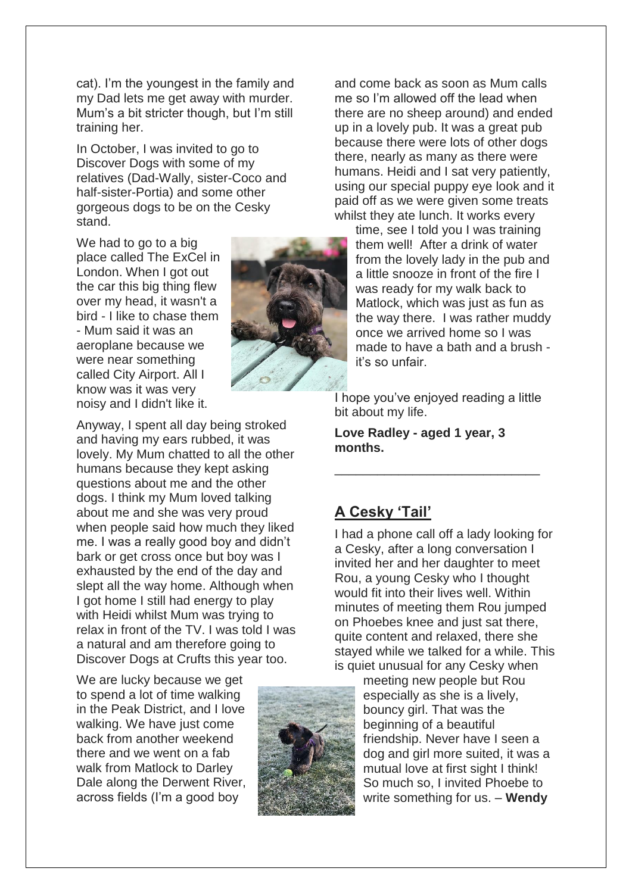cat). I'm the youngest in the family and my Dad lets me get away with murder. Mum's a bit stricter though, but I'm still training her.

In October, I was invited to go to Discover Dogs with some of my relatives (Dad-Wally, sister-Coco and half-sister-Portia) and some other gorgeous dogs to be on the Cesky stand.

We had to go to a big place called The ExCel in London. When I got out the car this big thing flew over my head, it wasn't a bird - I like to chase them - Mum said it was an aeroplane because we were near something called City Airport. All I know was it was very noisy and I didn't like it.

Anyway, I spent all day being stroked and having my ears rubbed, it was lovely. My Mum chatted to all the other humans because they kept asking questions about me and the other dogs. I think my Mum loved talking about me and she was very proud when people said how much they liked me. I was a really good boy and didn't bark or get cross once but boy was I exhausted by the end of the day and slept all the way home. Although when I got home I still had energy to play with Heidi whilst Mum was trying to relax in front of the TV. I was told I was a natural and am therefore going to Discover Dogs at Crufts this year too.

We are lucky because we get to spend a lot of time walking in the Peak District, and I love walking. We have just come back from another weekend there and we went on a fab walk from Matlock to Darley Dale along the Derwent River, across fields (I'm a good boy



and come back as soon as Mum calls me so I'm allowed off the lead when there are no sheep around) and ended up in a lovely pub. It was a great pub because there were lots of other dogs there, nearly as many as there were humans. Heidi and I sat very patiently, using our special puppy eye look and it paid off as we were given some treats whilst they ate lunch. It works every

time, see I told you I was training them well! After a drink of water from the lovely lady in the pub and a little snooze in front of the fire I was ready for my walk back to Matlock, which was just as fun as the way there. I was rather muddy once we arrived home so I was made to have a bath and a brush it's so unfair.

I hope you've enjoyed reading a little bit about my life.

\_\_\_\_\_\_\_\_\_\_\_\_\_\_\_\_\_\_\_\_\_\_\_\_\_\_\_\_\_

**Love Radley - aged 1 year, 3 months.**

## **A Cesky 'Tail'**

I had a phone call off a lady looking for a Cesky, after a long conversation I invited her and her daughter to meet Rou, a young Cesky who I thought would fit into their lives well. Within minutes of meeting them Rou jumped on Phoebes knee and just sat there, quite content and relaxed, there she stayed while we talked for a while. This is quiet unusual for any Cesky when



meeting new people but Rou especially as she is a lively, bouncy girl. That was the beginning of a beautiful friendship. Never have I seen a dog and girl more suited, it was a mutual love at first sight I think! So much so, I invited Phoebe to write something for us. – **Wendy**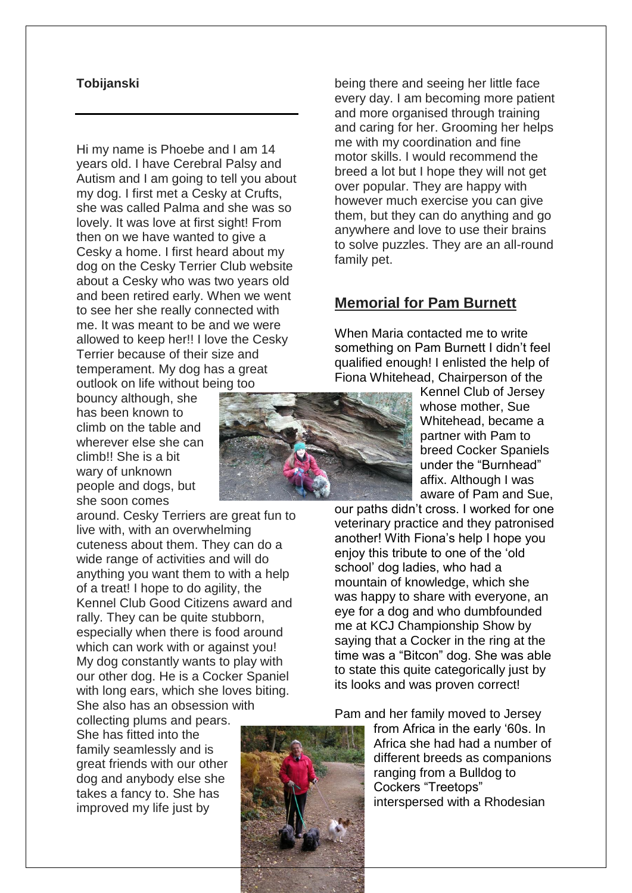#### **Tobijanski**

Hi my name is Phoebe and I am 14 years old. I have Cerebral Palsy and Autism and I am going to tell you about my dog. I first met a Cesky at Crufts, she was called Palma and she was so lovely. It was love at first sight! From then on we have wanted to give a Cesky a home. I first heard about my dog on the Cesky Terrier Club website about a Cesky who was two years old and been retired early. When we went to see her she really connected with me. It was meant to be and we were allowed to keep her!! I love the Cesky Terrier because of their size and temperament. My dog has a great outlook on life without being too

bouncy although, she has been known to climb on the table and wherever else she can climb!! She is a bit wary of unknown people and dogs, but she soon comes

around. Cesky Terriers are great fun to live with, with an overwhelming cuteness about them. They can do a wide range of activities and will do anything you want them to with a help of a treat! I hope to do agility, the Kennel Club Good Citizens award and rally. They can be quite stubborn, especially when there is food around which can work with or against you! My dog constantly wants to play with our other dog. He is a Cocker Spaniel with long ears, which she loves biting. She also has an obsession with

collecting plums and pears. She has fitted into the family seamlessly and is great friends with our other dog and anybody else she takes a fancy to. She has improved my life just by



being there and seeing her little face every day. I am becoming more patient and more organised through training and caring for her. Grooming her helps me with my coordination and fine motor skills. I would recommend the breed a lot but I hope they will not get over popular. They are happy with however much exercise you can give them, but they can do anything and go anywhere and love to use their brains to solve puzzles. They are an all-round family pet.

## **Memorial for Pam Burnett**

When Maria contacted me to write something on Pam Burnett I didn't feel qualified enough! I enlisted the help of Fiona Whitehead, Chairperson of the

> Kennel Club of Jersey whose mother, Sue Whitehead, became a partner with Pam to breed Cocker Spaniels under the "Burnhead" affix. Although I was aware of Pam and Sue,

our paths didn't cross. I worked for one veterinary practice and they patronised another! With Fiona's help I hope you enjoy this tribute to one of the 'old school' dog ladies, who had a mountain of knowledge, which she was happy to share with everyone, an eye for a dog and who dumbfounded me at KCJ Championship Show by saying that a Cocker in the ring at the time was a "Bitcon" dog. She was able to state this quite categorically just by its looks and was proven correct!

Pam and her family moved to Jersey



from Africa in the early '60s. In Africa she had had a number of different breeds as companions ranging from a Bulldog to Cockers "Treetops" interspersed with a Rhodesian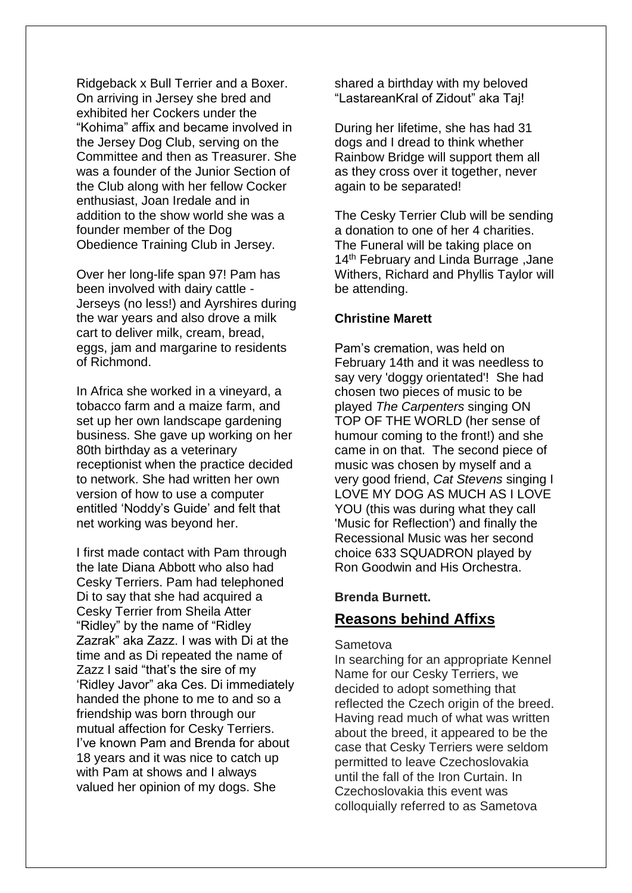Ridgeback x Bull Terrier and a Boxer. On arriving in Jersey she bred and exhibited her Cockers under the "Kohima" affix and became involved in the Jersey Dog Club, serving on the Committee and then as Treasurer. She was a founder of the Junior Section of the Club along with her fellow Cocker enthusiast, Joan Iredale and in addition to the show world she was a founder member of the Dog Obedience Training Club in Jersey.

Over her long-life span 97! Pam has been involved with dairy cattle - Jerseys (no less!) and Ayrshires during the war years and also drove a milk cart to deliver milk, cream, bread, eggs, jam and margarine to residents of Richmond.

In Africa she worked in a vineyard, a tobacco farm and a maize farm, and set up her own landscape gardening business. She gave up working on her 80th birthday as a veterinary receptionist when the practice decided to network. She had written her own version of how to use a computer entitled 'Noddy's Guide' and felt that net working was beyond her.

I first made contact with Pam through the late Diana Abbott who also had Cesky Terriers. Pam had telephoned Di to say that she had acquired a Cesky Terrier from Sheila Atter "Ridley" by the name of "Ridley Zazrak" aka Zazz. I was with Di at the time and as Di repeated the name of Zazz I said "that's the sire of my 'Ridley Javor" aka Ces. Di immediately handed the phone to me to and so a friendship was born through our mutual affection for Cesky Terriers. I've known Pam and Brenda for about 18 years and it was nice to catch up with Pam at shows and I always valued her opinion of my dogs. She

shared a birthday with my beloved "LastareanKral of Zidout" aka Taj!

During her lifetime, she has had 31 dogs and I dread to think whether Rainbow Bridge will support them all as they cross over it together, never again to be separated!

The Cesky Terrier Club will be sending a donation to one of her 4 charities. The Funeral will be taking place on 14<sup>th</sup> February and Linda Burrage, Jane Withers, Richard and Phyllis Taylor will be attending.

#### **Christine Marett**

Pam's cremation, was held on February 14th and it was needless to say very 'doggy orientated'! She had chosen two pieces of music to be played *The Carpenters* singing ON TOP OF THE WORLD (her sense of humour coming to the front!) and she came in on that. The second piece of music was chosen by myself and a very good friend, *Cat Stevens* singing I LOVE MY DOG AS MUCH AS I LOVE YOU (this was during what they call 'Music for Reflection') and finally the Recessional Music was her second choice 633 SQUADRON played by Ron Goodwin and His Orchestra.

#### **Brenda Burnett.**

## **Reasons behind Affixs**

#### **Sametova**

In searching for an appropriate Kennel Name for our Cesky Terriers, we decided to adopt something that reflected the Czech origin of the breed. Having read much of what was written about the breed, it appeared to be the case that Cesky Terriers were seldom permitted to leave Czechoslovakia until the fall of the Iron Curtain. In Czechoslovakia this event was colloquially referred to as Sametova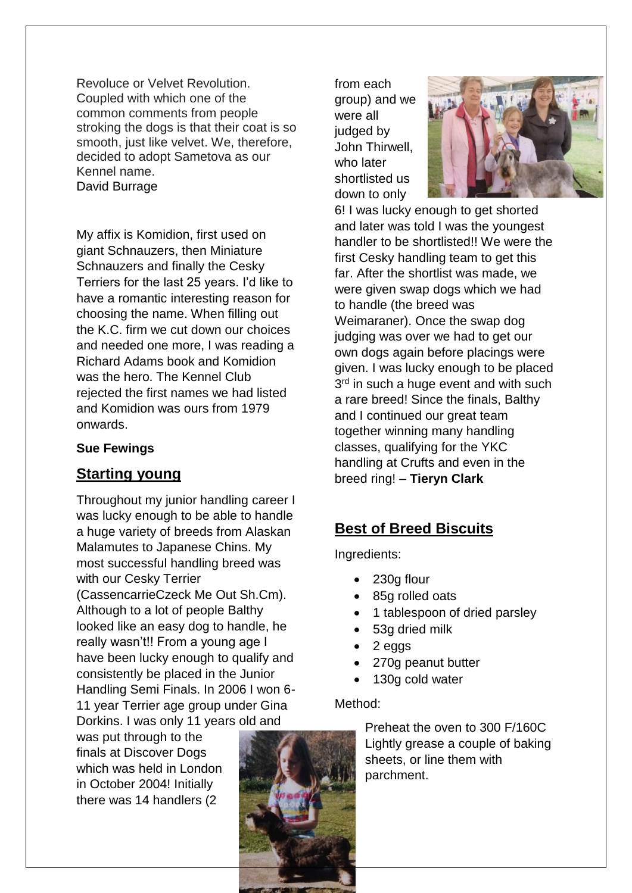Revoluce or Velvet Revolution. Coupled with which one of the common comments from people stroking the dogs is that their coat is so smooth, just like velvet. We, therefore, decided to adopt Sametova as our Kennel name. David Burrage

My affix is Komidion, first used on giant Schnauzers, then Miniature Schnauzers and finally the Cesky Terriers for the last 25 years. I'd like to have a romantic interesting reason for choosing the name. When filling out the K.C. firm we cut down our choices and needed one more, I was reading a Richard Adams book and Komidion was the hero. The Kennel Club rejected the first names we had listed and Komidion was ours from 1979 onwards.

#### **Sue Fewings**

## **Starting young**

Throughout my junior handling career I was lucky enough to be able to handle a huge variety of breeds from Alaskan Malamutes to Japanese Chins. My most successful handling breed was with our Cesky Terrier (CassencarrieCzeck Me Out Sh.Cm). Although to a lot of people Balthy looked like an easy dog to handle, he really wasn't!! From a young age I have been lucky enough to qualify and consistently be placed in the Junior Handling Semi Finals. In 2006 I won 6- 11 year Terrier age group under Gina Dorkins. I was only 11 years old and

was put through to the finals at Discover Dogs which was held in London in October 2004! Initially there was 14 handlers (2



from each group) and we were all judged by John Thirwell, who later shortlisted us down to only



6! I was lucky enough to get shorted and later was told I was the youngest handler to be shortlisted!! We were the first Cesky handling team to get this far. After the shortlist was made, we were given swap dogs which we had to handle (the breed was Weimaraner). Once the swap dog judging was over we had to get our own dogs again before placings were given. I was lucky enough to be placed 3<sup>rd</sup> in such a huge event and with such a rare breed! Since the finals, Balthy and I continued our great team together winning many handling classes, qualifying for the YKC handling at Crufts and even in the breed ring! – **Tieryn Clark**

# **Best of Breed Biscuits**

Ingredients:

- 230g flour
- 85g rolled oats
- 1 tablespoon of dried parsley
- 53g dried milk
- 2 eggs
- 270g peanut butter
- 130g cold water

## Method:

Preheat the oven to 300 F/160C Lightly grease a couple of baking sheets, or line them with parchment.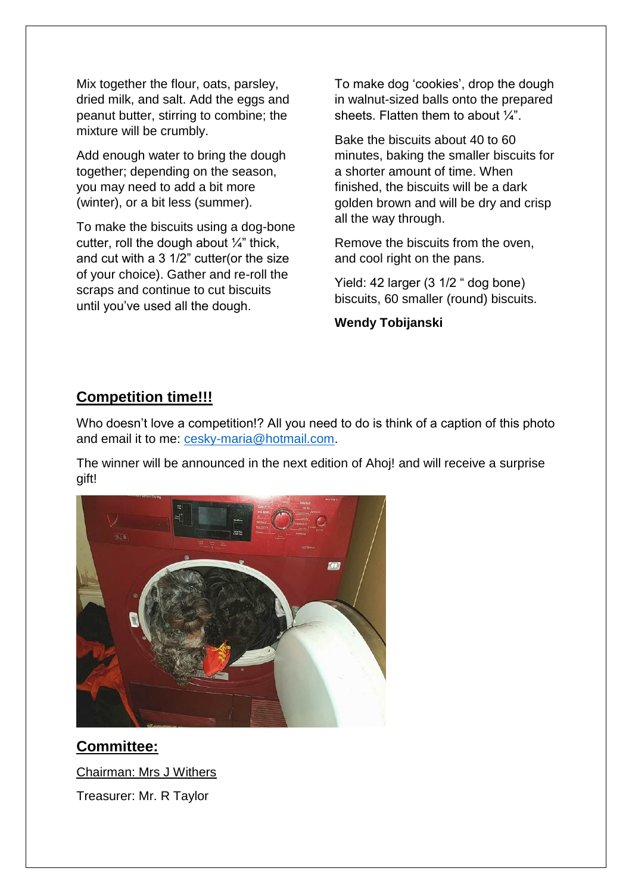Mix together the flour, oats, parsley, dried milk, and salt. Add the eggs and peanut butter, stirring to combine; the mixture will be crumbly.

Add enough water to bring the dough together; depending on the season, you may need to add a bit more (winter), or a bit less (summer).

To make the biscuits using a dog-bone cutter, roll the dough about  $\frac{1}{4}$ " thick, and cut with a 3 1/2" cutter(or the size of your choice). Gather and re-roll the scraps and continue to cut biscuits until you've used all the dough.

To make dog 'cookies', drop the dough in walnut-sized balls onto the prepared sheets. Flatten them to about  $\frac{1}{4}$ .

Bake the biscuits about 40 to 60 minutes, baking the smaller biscuits for a shorter amount of time. When finished, the biscuits will be a dark golden brown and will be dry and crisp all the way through.

Remove the biscuits from the oven, and cool right on the pans.

Yield: 42 larger (3 1/2 " dog bone) biscuits, 60 smaller (round) biscuits.

**Wendy Tobijanski**

# **Competition time!!!**

Who doesn't love a competition!? All you need to do is think of a caption of this photo and email it to me: [cesky-maria@hotmail.com.](mailto:cesky-maria@hotmail.com)

The winner will be announced in the next edition of Ahoj! and will receive a surprise gift!



**Committee:** Chairman: Mrs J Withers Treasurer: Mr. R Taylor